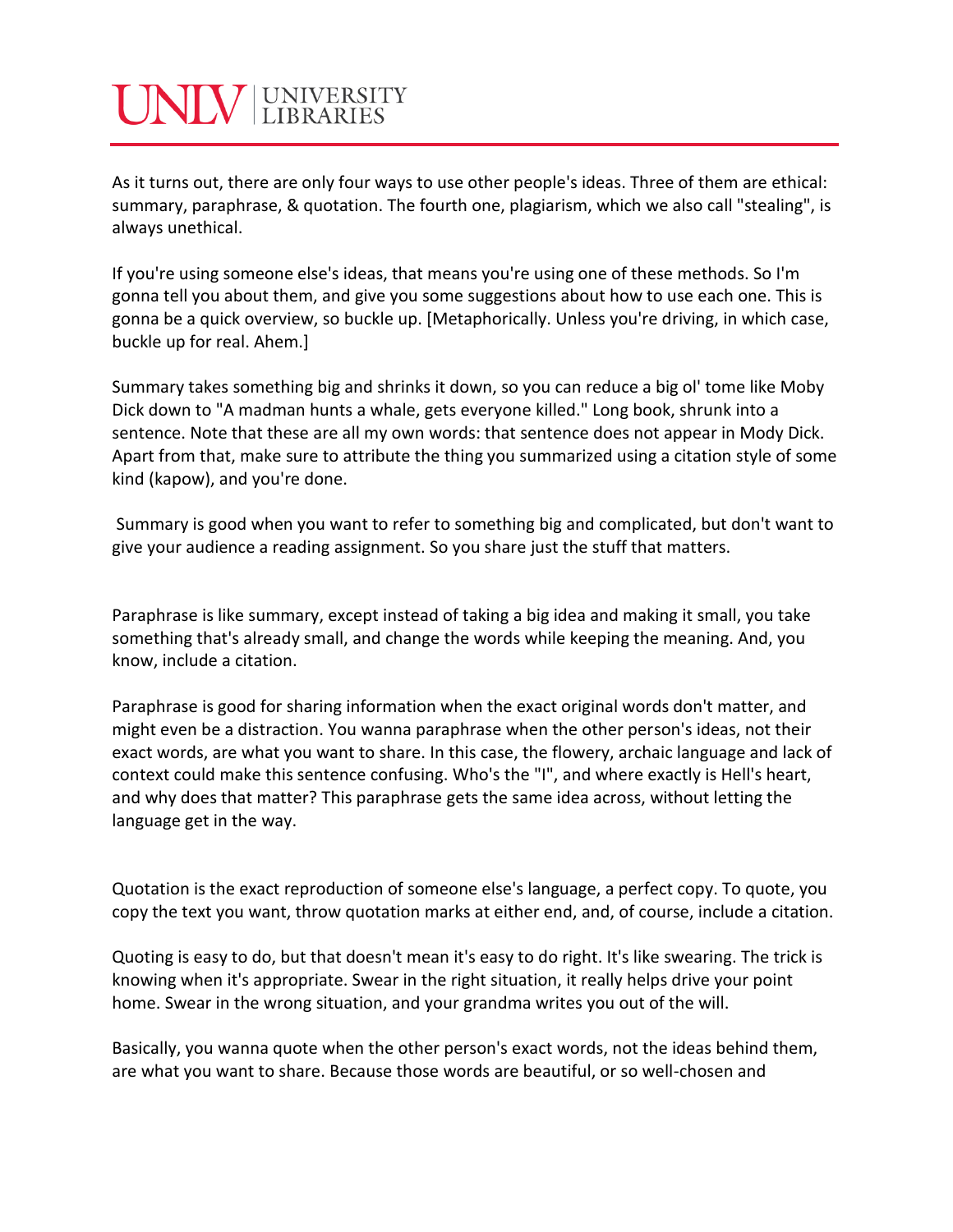## INIV UNIVERSITY

As it turns out, there are only four ways to use other people's ideas. Three of them are ethical: summary, paraphrase, & quotation. The fourth one, plagiarism, which we also call "stealing", is always unethical.

If you're using someone else's ideas, that means you're using one of these methods. So I'm gonna tell you about them, and give you some suggestions about how to use each one. This is gonna be a quick overview, so buckle up. [Metaphorically. Unless you're driving, in which case, buckle up for real. Ahem.]

Summary takes something big and shrinks it down, so you can reduce a big ol' tome like Moby Dick down to "A madman hunts a whale, gets everyone killed." Long book, shrunk into a sentence. Note that these are all my own words: that sentence does not appear in Mody Dick. Apart from that, make sure to attribute the thing you summarized using a citation style of some kind (kapow), and you're done.

Summary is good when you want to refer to something big and complicated, but don't want to give your audience a reading assignment. So you share just the stuff that matters.

Paraphrase is like summary, except instead of taking a big idea and making it small, you take something that's already small, and change the words while keeping the meaning. And, you know, include a citation.

Paraphrase is good for sharing information when the exact original words don't matter, and might even be a distraction. You wanna paraphrase when the other person's ideas, not their exact words, are what you want to share. In this case, the flowery, archaic language and lack of context could make this sentence confusing. Who's the "I", and where exactly is Hell's heart, and why does that matter? This paraphrase gets the same idea across, without letting the language get in the way.

Quotation is the exact reproduction of someone else's language, a perfect copy. To quote, you copy the text you want, throw quotation marks at either end, and, of course, include a citation.

Quoting is easy to do, but that doesn't mean it's easy to do right. It's like swearing. The trick is knowing when it's appropriate. Swear in the right situation, it really helps drive your point home. Swear in the wrong situation, and your grandma writes you out of the will.

Basically, you wanna quote when the other person's exact words, not the ideas behind them, are what you want to share. Because those words are beautiful, or so well-chosen and